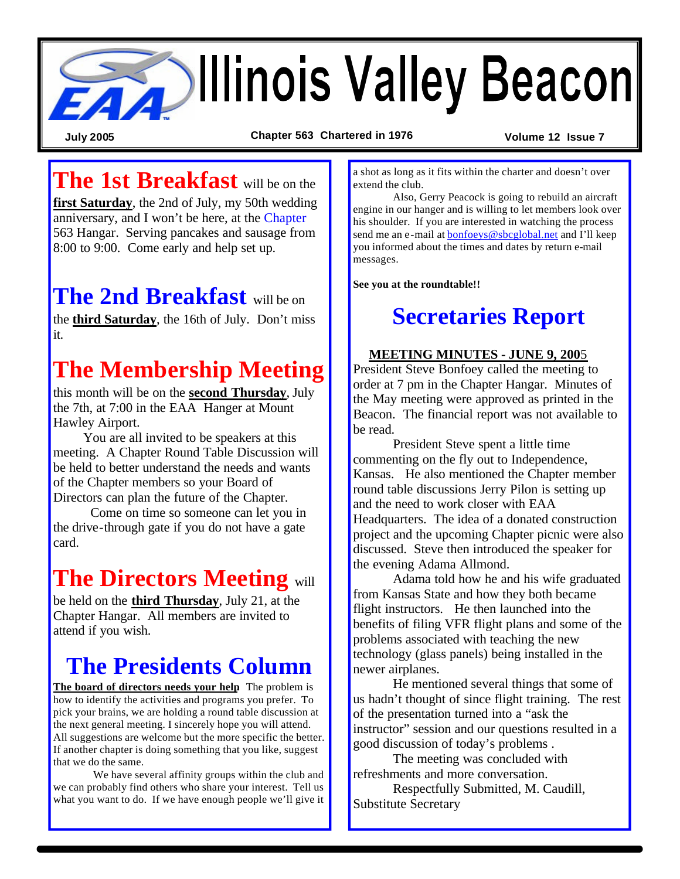

**July 2005 Chapter 563 Chartered in 1976 Volume 12 Issue 7**

**The 1st Breakfast** will be on the

**first Saturday**, the 2nd of July, my 50th wedding anniversary, and I won't be here, at the Chapter 563 Hangar. Serving pancakes and sausage from 8:00 to 9:00. Come early and help set up.

## **The 2nd Breakfast** will be on

the **third Saturday**, the 16th of July. Don't miss it.

# **The Membership Meeting**

this month will be on the **second Thursday**, July the 7th, at 7:00 in the EAA Hanger at Mount Hawley Airport.

You are all invited to be speakers at this meeting. A Chapter Round Table Discussion will be held to better understand the needs and wants of the Chapter members so your Board of Directors can plan the future of the Chapter.

 Come on time so someone can let you in the drive-through gate if you do not have a gate card.

# **The Directors Meeting** will

be held on the **third Thursday**, July 21, at the Chapter Hangar. All members are invited to attend if you wish.

# **The Presidents Column**

**The board of directors needs your help**. The problem is how to identify the activities and programs you prefer. To pick your brains, we are holding a round table discussion at the next general meeting. I sincerely hope you will attend. All suggestions are welcome but the more specific the better. If another chapter is doing something that you like, suggest that we do the same.

We have several affinity groups within the club and we can probably find others who share your interest. Tell us what you want to do. If we have enough people we'll give it a shot as long as it fits within the charter and doesn't over extend the club.

Also, Gerry Peacock is going to rebuild an aircraft engine in our hanger and is willing to let members look over his shoulder. If you are interested in watching the process send me an e-mail at bonfoeys@sbcglobal.net and I'll keep you informed about the times and dates by return e-mail messages.

**See you at the roundtable!!**

## **Secretaries Report**

### **MEETING MINUTES - JUNE 9, 200**5

President Steve Bonfoey called the meeting to order at 7 pm in the Chapter Hangar. Minutes of the May meeting were approved as printed in the Beacon. The financial report was not available to be read.

President Steve spent a little time commenting on the fly out to Independence, Kansas. He also mentioned the Chapter member round table discussions Jerry Pilon is setting up and the need to work closer with EAA Headquarters. The idea of a donated construction project and the upcoming Chapter picnic were also discussed. Steve then introduced the speaker for the evening Adama Allmond.

Adama told how he and his wife graduated from Kansas State and how they both became flight instructors. He then launched into the benefits of filing VFR flight plans and some of the problems associated with teaching the new technology (glass panels) being installed in the newer airplanes.

He mentioned several things that some of us hadn't thought of since flight training. The rest of the presentation turned into a "ask the instructor" session and our questions resulted in a good discussion of today's problems .

The meeting was concluded with refreshments and more conversation.

Respectfully Submitted, M. Caudill, Substitute Secretary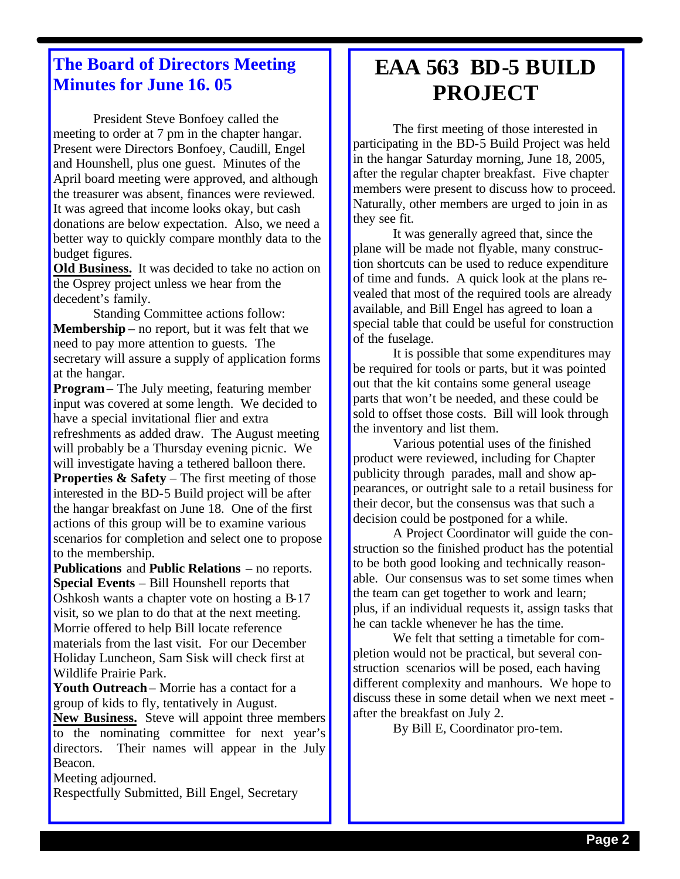### **The Board of Directors Meeting Minutes for June 16. 05**

President Steve Bonfoey called the meeting to order at 7 pm in the chapter hangar. Present were Directors Bonfoey, Caudill, Engel and Hounshell, plus one guest. Minutes of the April board meeting were approved, and although the treasurer was absent, finances were reviewed. It was agreed that income looks okay, but cash donations are below expectation. Also, we need a better way to quickly compare monthly data to the budget figures.

**Old Business.** It was decided to take no action on the Osprey project unless we hear from the decedent's family.

Standing Committee actions follow: **Membership** – no report, but it was felt that we need to pay more attention to guests. The secretary will assure a supply of application forms at the hangar.

**Program**– The July meeting, featuring member input was covered at some length. We decided to have a special invitational flier and extra refreshments as added draw. The August meeting will probably be a Thursday evening picnic. We will investigate having a tethered balloon there. **Properties & Safety** – The first meeting of those interested in the BD-5 Build project will be after the hangar breakfast on June 18. One of the first actions of this group will be to examine various scenarios for completion and select one to propose to the membership.

**Publications** and **Public Relations** – no reports. **Special Events** – Bill Hounshell reports that Oshkosh wants a chapter vote on hosting a B-17 visit, so we plan to do that at the next meeting. Morrie offered to help Bill locate reference materials from the last visit. For our December Holiday Luncheon, Sam Sisk will check first at Wildlife Prairie Park.

**Youth Outreach**– Morrie has a contact for a group of kids to fly, tentatively in August.

**New Business.** Steve will appoint three members to the nominating committee for next year's directors. Their names will appear in the July Beacon.

Meeting adjourned.

Respectfully Submitted, Bill Engel, Secretary

## **EAA 563 BD-5 BUILD PROJECT**

The first meeting of those interested in participating in the BD-5 Build Project was held in the hangar Saturday morning, June 18, 2005, after the regular chapter breakfast. Five chapter members were present to discuss how to proceed. Naturally, other members are urged to join in as they see fit.

It was generally agreed that, since the plane will be made not flyable, many construction shortcuts can be used to reduce expenditure of time and funds. A quick look at the plans revealed that most of the required tools are already available, and Bill Engel has agreed to loan a special table that could be useful for construction of the fuselage.

It is possible that some expenditures may be required for tools or parts, but it was pointed out that the kit contains some general useage parts that won't be needed, and these could be sold to offset those costs. Bill will look through the inventory and list them.

Various potential uses of the finished product were reviewed, including for Chapter publicity through parades, mall and show appearances, or outright sale to a retail business for their decor, but the consensus was that such a decision could be postponed for a while.

A Project Coordinator will guide the construction so the finished product has the potential to be both good looking and technically reasonable. Our consensus was to set some times when the team can get together to work and learn; plus, if an individual requests it, assign tasks that he can tackle whenever he has the time.

We felt that setting a timetable for completion would not be practical, but several construction scenarios will be posed, each having different complexity and manhours. We hope to discuss these in some detail when we next meet after the breakfast on July 2.

By Bill E, Coordinator pro-tem.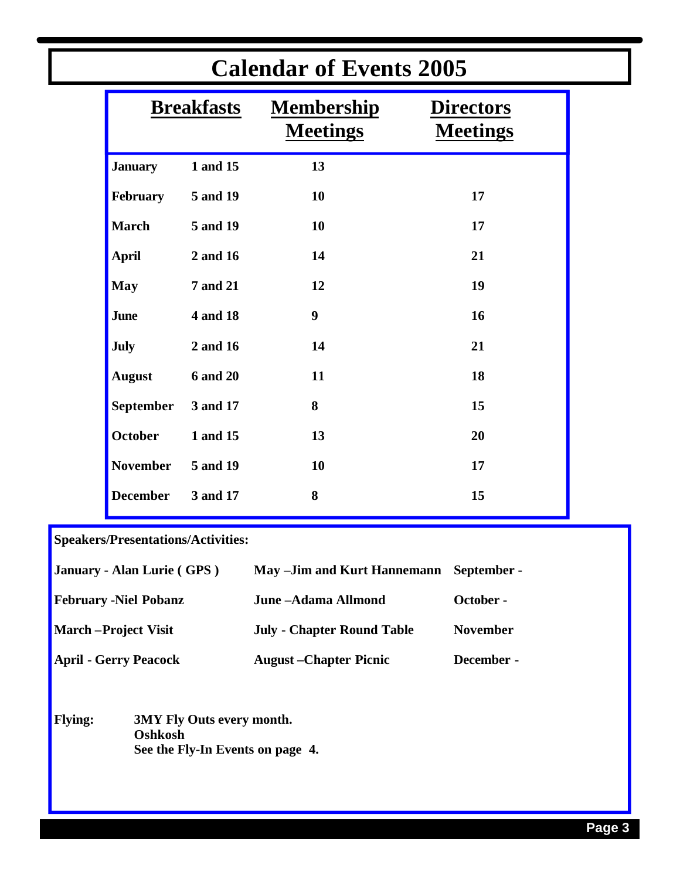| <b>Breakfasts</b><br><b>Membership</b><br><b>Directors</b><br><b>Meetings</b><br><b>Meetings</b><br>1 and 15<br>13<br><b>January</b><br>February<br>5 and 19<br>10<br>17<br><b>March</b><br>5 and 19<br>10<br>17<br><b>April</b><br>2 and 16<br>14<br>21<br><b>May</b><br><b>7 and 21</b><br>12<br>19<br>$\boldsymbol{9}$<br>4 and 18<br>16<br>June<br><b>July</b><br>2 and 16<br>14<br>21<br><b>August</b><br><b>6 and 20</b><br>11<br>18<br><b>September</b><br>8<br>3 and 17<br>15<br><b>October</b><br>1 and 15<br>13<br>20<br><b>November</b><br>5 and 19<br>10<br>17<br><b>December</b><br>8<br>3 and 17<br>15 |  |  | <b>Calendar of Events 2005</b> |  |
|----------------------------------------------------------------------------------------------------------------------------------------------------------------------------------------------------------------------------------------------------------------------------------------------------------------------------------------------------------------------------------------------------------------------------------------------------------------------------------------------------------------------------------------------------------------------------------------------------------------------|--|--|--------------------------------|--|
|                                                                                                                                                                                                                                                                                                                                                                                                                                                                                                                                                                                                                      |  |  |                                |  |
|                                                                                                                                                                                                                                                                                                                                                                                                                                                                                                                                                                                                                      |  |  |                                |  |
|                                                                                                                                                                                                                                                                                                                                                                                                                                                                                                                                                                                                                      |  |  |                                |  |
|                                                                                                                                                                                                                                                                                                                                                                                                                                                                                                                                                                                                                      |  |  |                                |  |
|                                                                                                                                                                                                                                                                                                                                                                                                                                                                                                                                                                                                                      |  |  |                                |  |
|                                                                                                                                                                                                                                                                                                                                                                                                                                                                                                                                                                                                                      |  |  |                                |  |
|                                                                                                                                                                                                                                                                                                                                                                                                                                                                                                                                                                                                                      |  |  |                                |  |
|                                                                                                                                                                                                                                                                                                                                                                                                                                                                                                                                                                                                                      |  |  |                                |  |
|                                                                                                                                                                                                                                                                                                                                                                                                                                                                                                                                                                                                                      |  |  |                                |  |
|                                                                                                                                                                                                                                                                                                                                                                                                                                                                                                                                                                                                                      |  |  |                                |  |
|                                                                                                                                                                                                                                                                                                                                                                                                                                                                                                                                                                                                                      |  |  |                                |  |
|                                                                                                                                                                                                                                                                                                                                                                                                                                                                                                                                                                                                                      |  |  |                                |  |
|                                                                                                                                                                                                                                                                                                                                                                                                                                                                                                                                                                                                                      |  |  |                                |  |

### **Speakers/Presentations/Activities:**

| January - Alan Lurie (GPS)   | May - Jim and Kurt Hannemann      | - September     |
|------------------------------|-----------------------------------|-----------------|
| <b>February -Niel Pobanz</b> | June - Adama Allmond              | October -       |
| <b>March</b> – Project Visit | <b>July - Chapter Round Table</b> | <b>November</b> |
| <b>April - Gerry Peacock</b> | <b>August</b> – Chapter Picnic    | December -      |

**Flying: 3MY Fly Outs every month. Oshkosh See the Fly-In Events on page 4.**